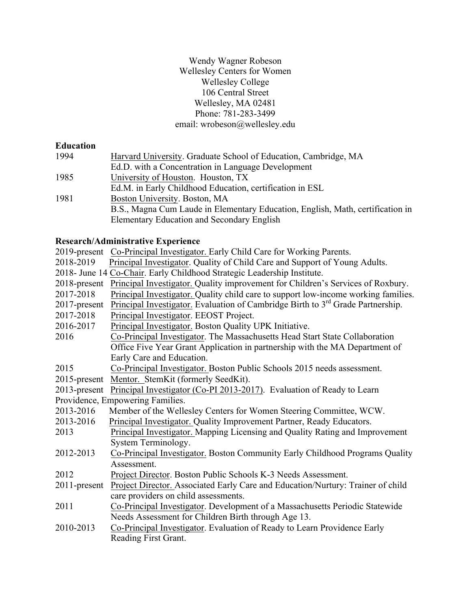## Wendy Wagner Robeson Wellesley Centers for Women Wellesley College 106 Central Street Wellesley, MA 02481 Phone: 781-283-3499 email: wrobeson@wellesley.edu

## **Education**

| 1994 | Harvard University. Graduate School of Education, Cambridge, MA                |
|------|--------------------------------------------------------------------------------|
|      | Ed.D. with a Concentration in Language Development                             |
| 1985 | University of Houston. Houston, TX                                             |
|      | Ed.M. in Early Childhood Education, certification in ESL                       |
| 1981 | Boston University. Boston, MA                                                  |
|      | B.S., Magna Cum Laude in Elementary Education, English, Math, certification in |
|      | Elementary Education and Secondary English                                     |
|      |                                                                                |

# **Research/Administrative Experience**

| 2019-present    | Co-Principal Investigator. Early Child Care for Working Parents.                            |
|-----------------|---------------------------------------------------------------------------------------------|
| 2018-2019       | Principal Investigator. Quality of Child Care and Support of Young Adults.                  |
|                 | 2018- June 14 Co-Chair. Early Childhood Strategic Leadership Institute.                     |
| 2018-present    | Principal Investigator. Quality improvement for Children's Services of Roxbury.             |
| 2017-2018       | Principal Investigator. Quality child care to support low-income working families.          |
| 2017-present    | Principal Investigator. Evaluation of Cambridge Birth to 3 <sup>rd</sup> Grade Partnership. |
| 2017-2018       | Principal Investigator. EEOST Project.                                                      |
| 2016-2017       | Principal Investigator. Boston Quality UPK Initiative.                                      |
| 2016            | Co-Principal Investigator. The Massachusetts Head Start State Collaboration                 |
|                 | Office Five Year Grant Application in partnership with the MA Department of                 |
|                 | Early Care and Education.                                                                   |
| 2015            | Co-Principal Investigator. Boston Public Schools 2015 needs assessment.                     |
| $2015$ -present | Mentor. StemKit (formerly SeedKit).                                                         |
| $2013$ -present | Principal Investigator (Co-PI 2013-2017). Evaluation of Ready to Learn                      |
|                 | Providence, Empowering Families.                                                            |
| 2013-2016       | Member of the Wellesley Centers for Women Steering Committee, WCW.                          |
| 2013-2016       | Principal Investigator. Quality Improvement Partner, Ready Educators.                       |
| 2013            | Principal Investigator. Mapping Licensing and Quality Rating and Improvement                |
|                 | System Terminology.                                                                         |
| 2012-2013       | Co-Principal Investigator. Boston Community Early Childhood Programs Quality                |
|                 | Assessment.                                                                                 |
| 2012            | Project Director. Boston Public Schools K-3 Needs Assessment.                               |
| $2011$ -present | Project Director. Associated Early Care and Education/Nurtury: Trainer of child             |
|                 | care providers on child assessments.                                                        |
| 2011            | Co-Principal Investigator. Development of a Massachusetts Periodic Statewide                |
|                 | Needs Assessment for Children Birth through Age 13.                                         |
| 2010-2013       | Co-Principal Investigator. Evaluation of Ready to Learn Providence Early                    |
|                 | Reading First Grant.                                                                        |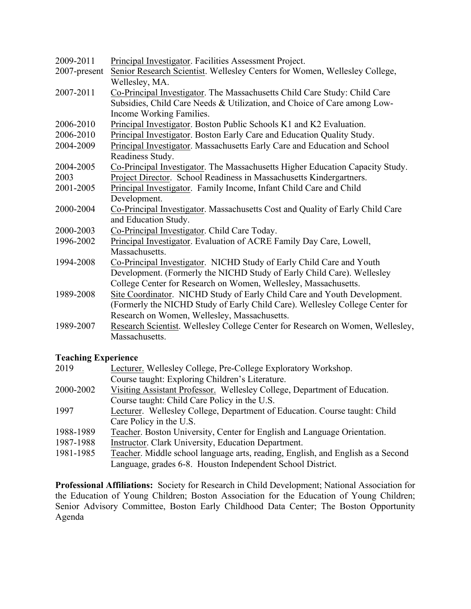| 2009-2011    | Principal Investigator. Facilities Assessment Project.                         |
|--------------|--------------------------------------------------------------------------------|
| 2007-present | Senior Research Scientist. Wellesley Centers for Women, Wellesley College,     |
|              | Wellesley, MA.                                                                 |
| 2007-2011    | Co-Principal Investigator. The Massachusetts Child Care Study: Child Care      |
|              | Subsidies, Child Care Needs & Utilization, and Choice of Care among Low-       |
|              | Income Working Families.                                                       |
| 2006-2010    | Principal Investigator. Boston Public Schools K1 and K2 Evaluation.            |
| 2006-2010    | Principal Investigator. Boston Early Care and Education Quality Study.         |
| 2004-2009    | Principal Investigator. Massachusetts Early Care and Education and School      |
|              | Readiness Study.                                                               |
| 2004-2005    | Co-Principal Investigator. The Massachusetts Higher Education Capacity Study.  |
| 2003         | Project Director. School Readiness in Massachusetts Kindergartners.            |
| 2001-2005    | Principal Investigator. Family Income, Infant Child Care and Child             |
|              | Development.                                                                   |
| 2000-2004    | Co-Principal Investigator. Massachusetts Cost and Quality of Early Child Care  |
|              | and Education Study.                                                           |
| 2000-2003    | Co-Principal Investigator. Child Care Today.                                   |
| 1996-2002    | Principal Investigator. Evaluation of ACRE Family Day Care, Lowell,            |
|              | Massachusetts.                                                                 |
| 1994-2008    | Co-Principal Investigator. NICHD Study of Early Child Care and Youth           |
|              | Development. (Formerly the NICHD Study of Early Child Care). Wellesley         |
|              | College Center for Research on Women, Wellesley, Massachusetts.                |
| 1989-2008    | Site Coordinator. NICHD Study of Early Child Care and Youth Development.       |
|              | (Formerly the NICHD Study of Early Child Care). Wellesley College Center for   |
|              | Research on Women, Wellesley, Massachusetts.                                   |
| 1989-2007    | Research Scientist. Wellesley College Center for Research on Women, Wellesley, |
|              | Massachusetts.                                                                 |
|              |                                                                                |

# **Teaching Experience**

| 2019      | Lecturer. Wellesley College, Pre-College Exploratory Workshop.                  |
|-----------|---------------------------------------------------------------------------------|
|           | Course taught: Exploring Children's Literature.                                 |
| 2000-2002 | Visiting Assistant Professor. Wellesley College, Department of Education.       |
|           | Course taught: Child Care Policy in the U.S.                                    |
| 1997      | Lecturer. Wellesley College, Department of Education. Course taught: Child      |
|           | Care Policy in the U.S.                                                         |
| 1988-1989 | Teacher. Boston University, Center for English and Language Orientation.        |
| 1987-1988 | Instructor. Clark University, Education Department.                             |
| 1981-1985 | Teacher. Middle school language arts, reading, English, and English as a Second |

Language, grades 6-8. Houston Independent School District.

**Professional Affiliations:** Society for Research in Child Development; National Association for the Education of Young Children; Boston Association for the Education of Young Children; Senior Advisory Committee, Boston Early Childhood Data Center; The Boston Opportunity Agenda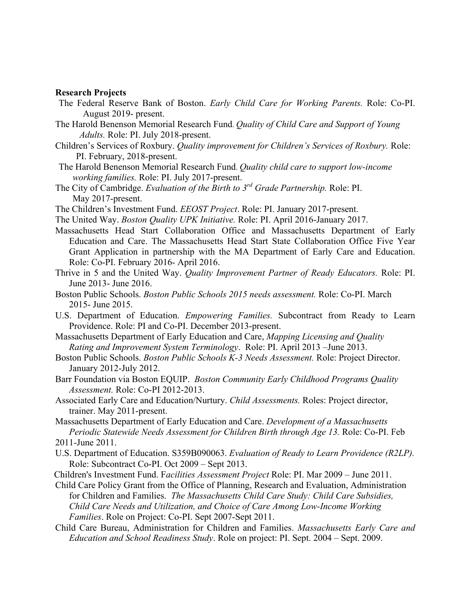#### **Research Projects**

- The Federal Reserve Bank of Boston. *Early Child Care for Working Parents.* Role: Co-PI. August 2019- present.
- The Harold Benenson Memorial Research Fund. *Quality of Child Care and Support of Young Adults.* Role: PI. July 2018-present.
- Children's Services of Roxbury. *Quality improvement for Children's Services of Roxbury.* Role: PI. February, 2018-present.
- The Harold Benenson Memorial Research Fund. *Quality child care to support low-income working families.* Role: PI. July 2017-present.
- The City of Cambridge. *Evaluation of the Birth to 3rd Grade Partnership.* Role: PI. May 2017-present.
- The Children's Investment Fund. *EEOST Project*. Role: PI. January 2017-present.
- The United Way. *Boston Quality UPK Initiative.* Role: PI. April 2016-January 2017.
- Massachusetts Head Start Collaboration Office and Massachusetts Department of Early Education and Care. The Massachusetts Head Start State Collaboration Office Five Year Grant Application in partnership with the MA Department of Early Care and Education. Role: Co-PI. February 2016- April 2016.
- Thrive in 5 and the United Way. *Quality Improvement Partner of Ready Educators.* Role: PI. June 2013- June 2016.
- Boston Public Schools. *Boston Public Schools 2015 needs assessment.* Role: Co-PI. March 2015- June 2015.
- U.S. Department of Education. *Empowering Families.* Subcontract from Ready to Learn Providence. Role: PI and Co-PI. December 2013-present.
- Massachusetts Department of Early Education and Care, *Mapping Licensing and Quality Rating and Improvement System Terminology*. Role: PI. April 2013 –June 2013.
- Boston Public Schools. *Boston Public Schools K-3 Needs Assessment.* Role: Project Director. January 2012-July 2012.
- Barr Foundation via Boston EQUIP. *Boston Community Early Childhood Programs Quality Assessment.* Role: Co-PI 2012-2013.
- Associated Early Care and Education/Nurtury. *Child Assessments.* Roles: Project director, trainer. May 2011-present.

Massachusetts Department of Early Education and Care. *Development of a Massachusetts Periodic Statewide Needs Assessment for Children Birth through Age 13.* Role: Co-PI. Feb 2011-June 2011.

- U.S. Department of Education. S359B090063. *Evaluation of Ready to Learn Providence (R2LP).* Role: Subcontract Co-PI. Oct 2009 – Sept 2013.
- Children's Investment Fund. F*acilities Assessment Project* Role: PI. Mar 2009 June 2011.
- Child Care Policy Grant from the Office of Planning, Research and Evaluation, Administration for Children and Families. *The Massachusetts Child Care Study: Child Care Subsidies, Child Care Needs and Utilization, and Choice of Care Among Low-Income Working Families*. Role on Project: Co-PI. Sept 2007-Sept 2011.
- Child Care Bureau, Administration for Children and Families. *Massachusetts Early Care and Education and School Readiness Study*. Role on project: PI. Sept. 2004 – Sept. 2009.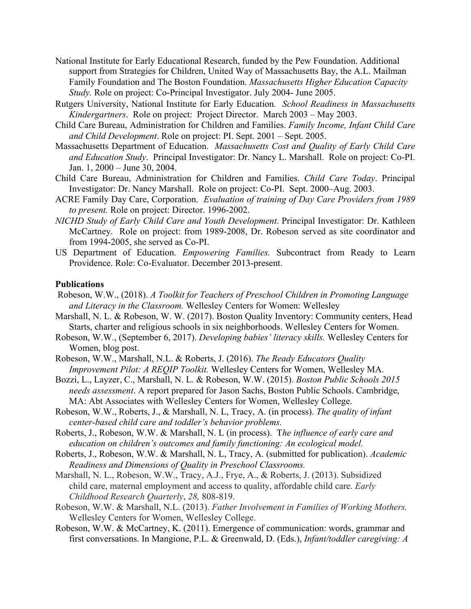- National Institute for Early Educational Research, funded by the Pew Foundation. Additional support from Strategies for Children, United Way of Massachusetts Bay, the A.L. Mailman Family Foundation and The Boston Foundation. *Massachusetts Higher Education Capacity Study.* Role on project: Co-Principal Investigator. July 2004- June 2005.
- Rutgers University, National Institute for Early Education*. School Readiness in Massachusetts Kindergartners*. Role on project: Project Director. March 2003 – May 2003.
- Child Care Bureau, Administration for Children and Families. *Family Income, Infant Child Care and Child Development*. Role on project: PI. Sept. 2001 – Sept. 2005.
- Massachusetts Department of Education. *Massachusetts Cost and Quality of Early Child Care and Education Study*. Principal Investigator: Dr. Nancy L. Marshall. Role on project: Co-PI. Jan. 1, 2000 – June 30, 2004.
- Child Care Bureau, Administration for Children and Families. *Child Care Today*. Principal Investigator: Dr. Nancy Marshall. Role on project: Co-PI. Sept. 2000–Aug. 2003.
- ACRE Family Day Care, Corporation. *Evaluation of training of Day Care Providers from 1989 to present.* Role on project: Director. 1996-2002.
- *NICHD Study of Early Child Care and Youth Development*. Principal Investigator: Dr. Kathleen McCartney. Role on project: from 1989-2008, Dr. Robeson served as site coordinator and from 1994-2005, she served as Co-PI.
- US Department of Education. *Empowering Families.* Subcontract from Ready to Learn Providence. Role: Co-Evaluator. December 2013-present.

### **Publications**

- Robeson, W.W., (2018). *A Toolkit for Teachers of Preschool Children in Promoting Language and Literacy in the Classroom.* Wellesley Centers for Women: Wellesley
- Marshall, N. L. & Robeson, W. W. (2017). Boston Quality Inventory: Community centers, Head Starts, charter and religious schools in six neighborhoods. Wellesley Centers for Women.
- Robeson, W.W., (September 6, 2017). *Developing babies' literacy skills.* Wellesley Centers for Women, blog post.
- Robeson, W.W., Marshall, N.L. & Roberts, J. (2016). *The Ready Educators Quality Improvement Pilot: A REQIP Toolkit.* Wellesley Centers for Women, Wellesley MA.
- Bozzi, L., Layzer, C., Marshall, N. L. & Robeson, W.W. (2015). *Boston Public Schools 2015 needs assessment*. A report prepared for Jason Sachs, Boston Public Schools. Cambridge, MA: Abt Associates with Wellesley Centers for Women, Wellesley College.
- Robeson, W.W., Roberts, J., & Marshall, N. L, Tracy, A. (in process). *The quality of infant center-based child care and toddler's behavior problems.*
- Roberts, J., Robeson, W.W. & Marshall, N. L (in process). T*he influence of early care and education on children's outcomes and family functioning: An ecological model.*
- Roberts, J., Robeson, W.W. & Marshall, N. L, Tracy, A. (submitted for publication). *Academic Readiness and Dimensions of Quality in Preschool Classrooms.*
- Marshall, N. L., Robeson, W.W., Tracy, A.J., Frye, A., & Roberts, J. (2013). Subsidized child care, maternal employment and access to quality, affordable child care. *Early Childhood Research Quarterly*, *28,* 808-819.
- Robeson, W.W. & Marshall, N.L. (2013). *Father Involvement in Families of Working Mothers.*  Wellesley Centers for Women, Wellesley College.
- Robeson, W.W. & McCartney, K. (2011). Emergence of communication: words, grammar and first conversations. In Mangione, P.L. & Greenwald, D. (Eds.), *Infant/toddler caregiving: A*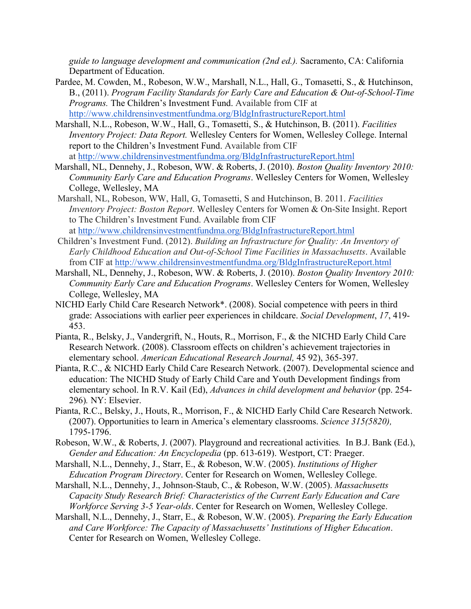*guide to language development and communication (2nd ed.).* Sacramento, CA: California Department of Education.

- Pardee, M. Cowden, M., Robeson, W.W., Marshall, N.L., Hall, G., Tomasetti, S., & Hutchinson, B., (2011). *Program Facility Standards for Early Care and Education & Out-of-School-Time Programs.* The Children's Investment Fund. Available from CIF at http://www.childrensinvestmentfundma.org/BldgInfrastructureReport.html
- Marshall, N.L., Robeson, W.W., Hall, G., Tomasetti, S., & Hutchinson, B. (2011). *Facilities Inventory Project: Data Report.* Wellesley Centers for Women, Wellesley College. Internal report to the Children's Investment Fund. Available from CIF at http://www.childrensinvestmentfundma.org/BldgInfrastructureReport.html
- Marshall, NL, Dennehy, J., Robeson, WW. & Roberts, J. (2010). *Boston Quality Inventory 2010: Community Early Care and Education Programs*. Wellesley Centers for Women, Wellesley College, Wellesley, MA
- Marshall, NL, Robeson, WW, Hall, G, Tomasetti, S and Hutchinson, B. 2011. *Facilities Inventory Project: Boston Report*. Wellesley Centers for Women & On-Site Insight. Report to The Children's Investment Fund. Available from CIF at http://www.childrensinvestmentfundma.org/BldgInfrastructureReport.html
- Children's Investment Fund. (2012). *Building an Infrastructure for Quality: An Inventory of Early Childhood Education and Out-of-School Time Facilities in Massachusetts*. Available from CIF at http://www.childrensinvestmentfundma.org/BldgInfrastructureReport.html
- Marshall, NL, Dennehy, J., Robeson, WW. & Roberts, J. (2010). *Boston Quality Inventory 2010: Community Early Care and Education Programs*. Wellesley Centers for Women, Wellesley College, Wellesley, MA
- NICHD Early Child Care Research Network\*. (2008). Social competence with peers in third grade: Associations with earlier peer experiences in childcare. *Social Development*, *17*, 419- 453.
- Pianta, R., Belsky, J., Vandergrift, N., Houts, R., Morrison, F., & the NICHD Early Child Care Research Network. (2008). Classroom effects on children's achievement trajectories in elementary school. *American Educational Research Journal,* 45 92), 365-397.
- Pianta, R.C., & NICHD Early Child Care Research Network. (2007). Developmental science and education: The NICHD Study of Early Child Care and Youth Development findings from elementary school. In R.V. Kail (Ed), *Advances in child development and behavior* (pp. 254- 296)*.* NY: Elsevier.
- Pianta, R.C., Belsky, J., Houts, R., Morrison, F., & NICHD Early Child Care Research Network. (2007). Opportunities to learn in America's elementary classrooms. *Science 315(5820),* 1795-1796.
- Robeson, W.W., & Roberts, J. (2007). Playground and recreational activities*.* In B.J. Bank (Ed.), *Gender and Education: An Encyclopedia* (pp. 613-619). Westport, CT: Praeger.
- Marshall, N.L., Dennehy, J., Starr, E., & Robeson, W.W. (2005). *Institutions of Higher Education Program Directory*. Center for Research on Women, Wellesley College.
- Marshall, N.L., Dennehy, J., Johnson-Staub, C., & Robeson, W.W. (2005). *Massachusetts Capacity Study Research Brief: Characteristics of the Current Early Education and Care Workforce Serving 3-5 Year-olds*. Center for Research on Women, Wellesley College.
- Marshall, N.L., Dennehy, J., Starr, E., & Robeson, W.W. (2005). *Preparing the Early Education and Care Workforce: The Capacity of Massachusetts' Institutions of Higher Education*. Center for Research on Women, Wellesley College.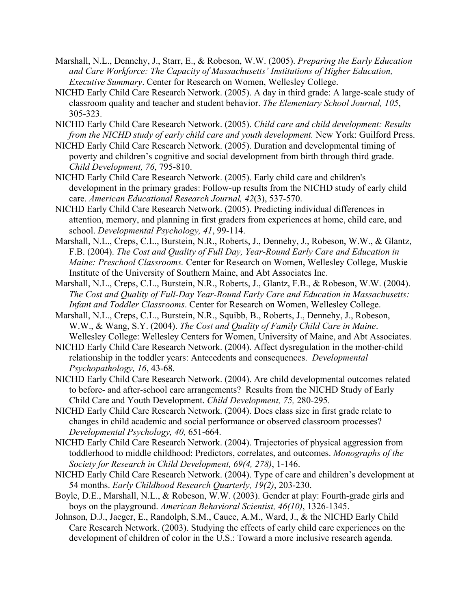- Marshall, N.L., Dennehy, J., Starr, E., & Robeson, W.W. (2005). *Preparing the Early Education and Care Workforce: The Capacity of Massachusetts' Institutions of Higher Education, Executive Summary*. Center for Research on Women, Wellesley College.
- NICHD Early Child Care Research Network. (2005). A day in third grade: A large-scale study of classroom quality and teacher and student behavior. *The Elementary School Journal, 105*, 305-323.
- NICHD Early Child Care Research Network. (2005). *Child care and child development: Results from the NICHD study of early child care and youth development.* New York: Guilford Press.
- NICHD Early Child Care Research Network. (2005). Duration and developmental timing of poverty and children's cognitive and social development from birth through third grade. *Child Development, 76*, 795-810.
- NICHD Early Child Care Research Network. (2005). Early child care and children's development in the primary grades: Follow-up results from the NICHD study of early child care. *American Educational Research Journal, 42*(3), 537-570.
- NICHD Early Child Care Research Network. (2005). Predicting individual differences in attention, memory, and planning in first graders from experiences at home, child care, and school. *Developmental Psychology, 41*, 99-114.
- Marshall, N.L., Creps, C.L., Burstein, N.R., Roberts, J., Dennehy, J., Robeson, W.W., & Glantz, F.B. (2004). *The Cost and Quality of Full Day, Year-Round Early Care and Education in Maine: Preschool Classrooms.* Center for Research on Women, Wellesley College, Muskie Institute of the University of Southern Maine, and Abt Associates Inc.
- Marshall, N.L., Creps, C.L., Burstein, N.R., Roberts, J., Glantz, F.B., & Robeson, W.W. (2004). *The Cost and Quality of Full-Day Year-Round Early Care and Education in Massachusetts: Infant and Toddler Classrooms*. Center for Research on Women, Wellesley College.
- Marshall, N.L., Creps, C.L., Burstein, N.R., Squibb, B., Roberts, J., Dennehy, J., Robeson, W.W., & Wang, S.Y. (2004). *The Cost and Quality of Family Child Care in Maine*. Wellesley College: Wellesley Centers for Women, University of Maine, and Abt Associates.
- NICHD Early Child Care Research Network. (2004). Affect dysregulation in the mother-child relationship in the toddler years: Antecedents and consequences. *Developmental Psychopathology, 16*, 43-68.
- NICHD Early Child Care Research Network. (2004). Are child developmental outcomes related to before- and after-school care arrangements? Results from the NICHD Study of Early Child Care and Youth Development. *Child Development, 75,* 280-295.
- NICHD Early Child Care Research Network. (2004). Does class size in first grade relate to changes in child academic and social performance or observed classroom processes? *Developmental Psychology, 40,* 651-664.
- NICHD Early Child Care Research Network. (2004). Trajectories of physical aggression from toddlerhood to middle childhood: Predictors, correlates, and outcomes. *Monographs of the Society for Research in Child Development, 69(4, 278)*, 1-146.
- NICHD Early Child Care Research Network. (2004). Type of care and children's development at 54 months. *Early Childhood Research Quarterly, 19(2)*, 203-230.
- Boyle, D.E., Marshall, N.L., & Robeson, W.W. (2003). Gender at play: Fourth-grade girls and boys on the playground. *American Behavioral Scientist, 46(10)*, 1326-1345.
- Johnson, D.J., Jaeger, E., Randolph, S.M., Cauce, A.M., Ward, J., & the NICHD Early Child Care Research Network. (2003). Studying the effects of early child care experiences on the development of children of color in the U.S.: Toward a more inclusive research agenda.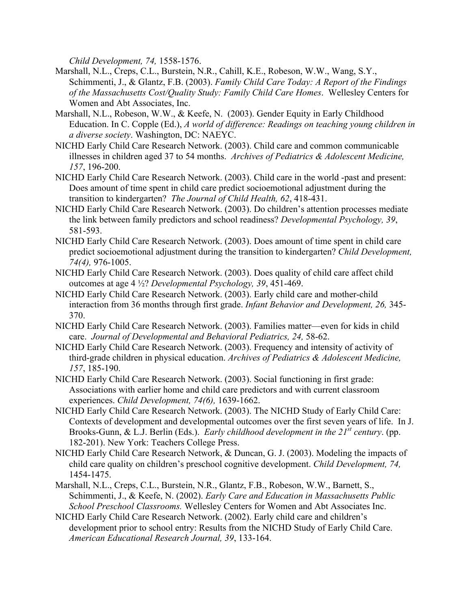*Child Development, 74,* 1558-1576.

- Marshall, N.L., Creps, C.L., Burstein, N.R., Cahill, K.E., Robeson, W.W., Wang, S.Y., Schimmenti, J., & Glantz, F.B. (2003). *Family Child Care Today: A Report of the Findings of the Massachusetts Cost/Quality Study: Family Child Care Homes*. Wellesley Centers for Women and Abt Associates, Inc.
- Marshall, N.L., Robeson, W.W., & Keefe, N. (2003). Gender Equity in Early Childhood Education. In C. Copple (Ed.), *A world of difference: Readings on teaching young children in a diverse society*. Washington, DC: NAEYC.
- NICHD Early Child Care Research Network. (2003). Child care and common communicable illnesses in children aged 37 to 54 months. *Archives of Pediatrics & Adolescent Medicine, 157*, 196-200.
- NICHD Early Child Care Research Network. (2003). Child care in the world -past and present: Does amount of time spent in child care predict socioemotional adjustment during the transition to kindergarten? *The Journal of Child Health, 62*, 418-431.
- NICHD Early Child Care Research Network. (2003). Do children's attention processes mediate the link between family predictors and school readiness? *Developmental Psychology, 39*, 581-593.
- NICHD Early Child Care Research Network. (2003). Does amount of time spent in child care predict socioemotional adjustment during the transition to kindergarten? *Child Development, 74(4),* 976-1005.
- NICHD Early Child Care Research Network. (2003). Does quality of child care affect child outcomes at age 4 ½? *Developmental Psychology, 39*, 451-469.
- NICHD Early Child Care Research Network. (2003). Early child care and mother-child interaction from 36 months through first grade. *Infant Behavior and Development, 26,* 345- 370.
- NICHD Early Child Care Research Network. (2003). Families matter—even for kids in child care. *Journal of Developmental and Behavioral Pediatrics, 24,* 58-62.
- NICHD Early Child Care Research Network. (2003). Frequency and intensity of activity of third-grade children in physical education. *Archives of Pediatrics & Adolescent Medicine, 157*, 185-190.
- NICHD Early Child Care Research Network. (2003). Social functioning in first grade: Associations with earlier home and child care predictors and with current classroom experiences. *Child Development, 74(6),* 1639-1662.
- NICHD Early Child Care Research Network. (2003). The NICHD Study of Early Child Care: Contexts of development and developmental outcomes over the first seven years of life. In J. Brooks-Gunn, & L.J. Berlin (Eds.). *Early childhood development in the 21st century*. (pp. 182-201). New York: Teachers College Press.
- NICHD Early Child Care Research Network, & Duncan, G. J. (2003). Modeling the impacts of child care quality on children's preschool cognitive development. *Child Development, 74,* 1454-1475.
- Marshall, N.L., Creps, C.L., Burstein, N.R., Glantz, F.B., Robeson, W.W., Barnett, S., Schimmenti, J., & Keefe, N. (2002). *Early Care and Education in Massachusetts Public School Preschool Classrooms.* Wellesley Centers for Women and Abt Associates Inc.
- NICHD Early Child Care Research Network. (2002). Early child care and children's development prior to school entry: Results from the NICHD Study of Early Child Care. *American Educational Research Journal, 39*, 133-164.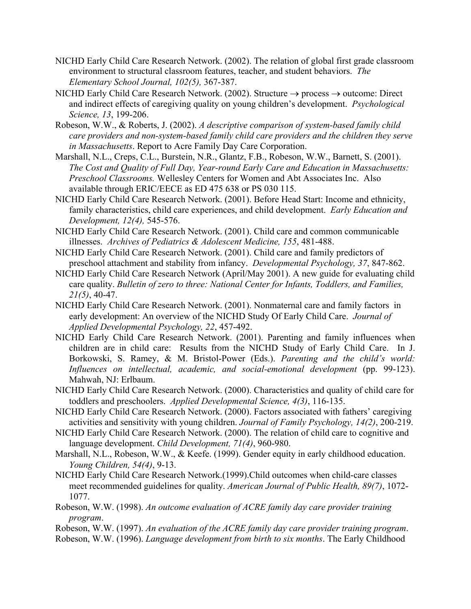- NICHD Early Child Care Research Network. (2002). The relation of global first grade classroom environment to structural classroom features, teacher, and student behaviors. *The Elementary School Journal, 102(5),* 367-387.
- NICHD Early Child Care Research Network. (2002). Structure  $\rightarrow$  process  $\rightarrow$  outcome: Direct and indirect effects of caregiving quality on young children's development. *Psychological Science, 13*, 199-206.
- Robeson, W.W., & Roberts, J. (2002). *A descriptive comparison of system-based family child care providers and non-system-based family child care providers and the children they serve in Massachusetts*. Report to Acre Family Day Care Corporation.
- Marshall, N.L., Creps, C.L., Burstein, N.R., Glantz, F.B., Robeson, W.W., Barnett, S. (2001). *The Cost and Quality of Full Day, Year-round Early Care and Education in Massachusetts: Preschool Classrooms.* Wellesley Centers for Women and Abt Associates Inc. Also available through ERIC/EECE as ED 475 638 or PS 030 115.
- NICHD Early Child Care Research Network. (2001). Before Head Start: Income and ethnicity, family characteristics, child care experiences, and child development. *Early Education and Development, 12(4),* 545-576.
- NICHD Early Child Care Research Network. (2001). Child care and common communicable illnesses. *Archives of Pediatrics & Adolescent Medicine, 155*, 481-488.
- NICHD Early Child Care Research Network. (2001). Child care and family predictors of preschool attachment and stability from infancy. *Developmental Psychology, 37*, 847-862.
- NICHD Early Child Care Research Network (April/May 2001). A new guide for evaluating child care quality. *Bulletin of zero to three: National Center for Infants, Toddlers, and Families, 21(5)*, 40-47.
- NICHD Early Child Care Research Network. (2001). Nonmaternal care and family factors in early development: An overview of the NICHD Study Of Early Child Care. *Journal of Applied Developmental Psychology, 22*, 457-492.
- NICHD Early Child Care Research Network. (2001). Parenting and family influences when children are in child care: Results from the NICHD Study of Early Child Care. In J. Borkowski, S. Ramey, & M. Bristol-Power (Eds.). *Parenting and the child's world: Influences on intellectual, academic, and social-emotional development* (pp. 99-123). Mahwah, NJ: Erlbaum.
- NICHD Early Child Care Research Network. (2000). Characteristics and quality of child care for toddlers and preschoolers. *Applied Developmental Science, 4(3)*, 116-135.
- NICHD Early Child Care Research Network. (2000). Factors associated with fathers' caregiving activities and sensitivity with young children. *Journal of Family Psychology, 14(2)*, 200-219.
- NICHD Early Child Care Research Network. (2000). The relation of child care to cognitive and language development. *Child Development, 71(4)*, 960-980.
- Marshall, N.L., Robeson, W.W., & Keefe. (1999). Gender equity in early childhood education. *Young Children, 54(4)*, 9-13.
- NICHD Early Child Care Research Network.(1999).Child outcomes when child-care classes meet recommended guidelines for quality. *American Journal of Public Health, 89(7)*, 1072- 1077.
- Robeson, W.W. (1998). *An outcome evaluation of ACRE family day care provider training program*.
- Robeson, W.W. (1997). *An evaluation of the ACRE family day care provider training program*.
- Robeson, W.W. (1996). *Language development from birth to six months*. The Early Childhood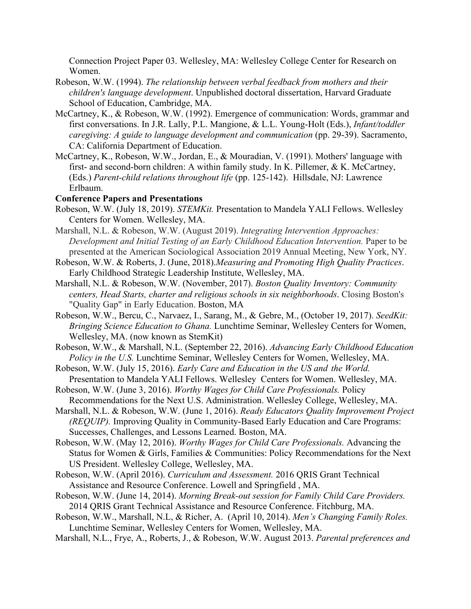Connection Project Paper 03. Wellesley, MA: Wellesley College Center for Research on Women.

- Robeson, W.W. (1994). *The relationship between verbal feedback from mothers and their children's language development*. Unpublished doctoral dissertation, Harvard Graduate School of Education, Cambridge, MA.
- McCartney, K., & Robeson, W.W. (1992). Emergence of communication: Words, grammar and first conversations. In J.R. Lally, P.L. Mangione, & L.L. Young-Holt (Eds.), *Infant/toddler caregiving: A guide to language development and communication* (pp. 29-39). Sacramento, CA: California Department of Education.
- McCartney, K., Robeson, W.W., Jordan, E., & Mouradian, V. (1991). Mothers' language with first- and second-born children: A within family study. In K. Pillemer, & K. McCartney, (Eds.) *Parent-child relations throughout life* (pp. 125-142). Hillsdale, NJ: Lawrence Erlbaum.

### **Conference Papers and Presentations**

- Robeson, W.W. (July 18, 2019). *STEMKit.* Presentation to Mandela YALI Fellows. Wellesley Centers for Women. Wellesley, MA.
- Marshall, N.L. & Robeson, W.W. (August 2019). *Integrating Intervention Approaches: Development and Initial Testing of an Early Childhood Education Intervention.* Paper to be presented at the American Sociological Association 2019 Annual Meeting, New York, NY.
- Robeson, W.W. & Roberts, J. (June, 2018).*Measuring and Promoting High Quality Practices*. Early Childhood Strategic Leadership Institute, Wellesley, MA.
- Marshall, N.L. & Robeson, W.W. (November, 2017). *Boston Quality Inventory: Community centers, Head Starts, charter and religious schools in six neighborhoods*. Closing Boston's "Quality Gap" in Early Education. Boston, MA
- Robeson, W.W., Bercu, C., Narvaez, I., Sarang, M., & Gebre, M., (October 19, 2017). *SeedKit: Bringing Science Education to Ghana.* Lunchtime Seminar, Wellesley Centers for Women, Wellesley, MA. (now known as StemKit)
- Robeson, W.W., & Marshall, N.L. (September 22, 2016). *Advancing Early Childhood Education Policy in the U.S.* Lunchtime Seminar, Wellesley Centers for Women, Wellesley, MA.
- Robeson, W.W. (July 15, 2016). *Early Care and Education in the US and the World.* Presentation to Mandela YALI Fellows. Wellesley Centers for Women. Wellesley, MA.
- Robeson, W.W. (June 3, 2016). *Worthy Wages for Child Care Professionals.* Policy Recommendations for the Next U.S. Administration. Wellesley College, Wellesley, MA.
- Marshall, N.L. & Robeson, W.W. (June 1, 2016). *Ready Educators Quality Improvement Project (REQUIP).* Improving Quality in Community-Based Early Education and Care Programs: Successes, Challenges, and Lessons Learned. Boston, MA.

Robeson, W.W. (May 12, 2016). *Worthy Wages for Child Care Professionals.* Advancing the Status for Women & Girls, Families & Communities: Policy Recommendations for the Next US President. Wellesley College, Wellesley, MA.

- Robeson, W.W. (April 2016). *Curriculum and Assessment.* 2016 QRIS Grant Technical Assistance and Resource Conference. Lowell and Springfield , MA.
- Robeson, W.W. (June 14, 2014). *Morning Break-out session for Family Child Care Providers.*  2014 QRIS Grant Technical Assistance and Resource Conference. Fitchburg, MA.
- Robeson, W.W., Marshall, N.L, & Richer, A. (April 10, 2014). *Men's Changing Family Roles.* Lunchtime Seminar, Wellesley Centers for Women, Wellesley, MA.
- Marshall, N.L., Frye, A., Roberts, J., & Robeson, W.W. August 2013. *Parental preferences and*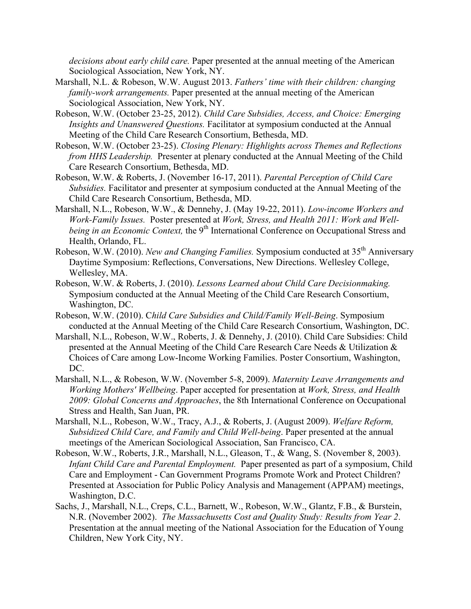*decisions about early child care.* Paper presented at the annual meeting of the American Sociological Association, New York, NY.

- Marshall, N.L. & Robeson, W.W. August 2013. *Fathers' time with their children: changing family-work arrangements.* Paper presented at the annual meeting of the American Sociological Association, New York, NY.
- Robeson, W.W. (October 23-25, 2012). *Child Care Subsidies, Access, and Choice: Emerging Insights and Unanswered Questions.* Facilitator at symposium conducted at the Annual Meeting of the Child Care Research Consortium, Bethesda, MD.
- Robeson, W.W. (October 23-25). *Closing Plenary: Highlights across Themes and Reflections from HHS Leadership.* Presenter at plenary conducted at the Annual Meeting of the Child Care Research Consortium, Bethesda, MD.
- Robeson, W.W. & Roberts, J. (November 16-17, 2011). *Parental Perception of Child Care Subsidies.* Facilitator and presenter at symposium conducted at the Annual Meeting of the Child Care Research Consortium, Bethesda, MD.
- Marshall, N.L., Robeson, W.W., & Dennehy, J. (May 19-22, 2011). *Low-income Workers and Work-Family Issues.* Poster presented at *Work, Stress, and Health 2011: Work and Wellbeing in an Economic Context*, the 9<sup>th</sup> International Conference on Occupational Stress and Health, Orlando, FL.
- Robeson, W.W. (2010). *New and Changing Families*. Symposium conducted at 35<sup>th</sup> Anniversary Daytime Symposium: Reflections, Conversations, New Directions. Wellesley College, Wellesley, MA.
- Robeson, W.W. & Roberts, J. (2010). *Lessons Learned about Child Care Decisionmaking.*  Symposium conducted at the Annual Meeting of the Child Care Research Consortium, Washington, DC.
- Robeson, W.W. (2010). C*hild Care Subsidies and Child/Family Well-Being*. Symposium conducted at the Annual Meeting of the Child Care Research Consortium, Washington, DC.
- Marshall, N.L., Robeson, W.W., Roberts, J. & Dennehy, J. (2010). Child Care Subsidies: Child presented at the Annual Meeting of the Child Care Research Care Needs & Utilization & Choices of Care among Low-Income Working Families. Poster Consortium, Washington, DC.
- Marshall, N.L., & Robeson, W.W. (November 5-8, 2009). *Maternity Leave Arrangements and Working Mothers' Wellbeing*. Paper accepted for presentation at *Work, Stress, and Health 2009: Global Concerns and Approaches*, the 8th International Conference on Occupational Stress and Health, San Juan, PR.
- Marshall, N.L., Robeson, W.W., Tracy, A.J., & Roberts, J. (August 2009). *Welfare Reform, Subsidized Child Care, and Family and Child Well-being*. Paper presented at the annual meetings of the American Sociological Association, San Francisco, CA.
- Robeson, W.W., Roberts, J.R., Marshall, N.L., Gleason, T., & Wang, S. (November 8, 2003). *Infant Child Care and Parental Employment.* Paper presented as part of a symposium, Child Care and Employment - Can Government Programs Promote Work and Protect Children? Presented at Association for Public Policy Analysis and Management (APPAM) meetings, Washington, D.C.
- Sachs, J., Marshall, N.L., Creps, C.L., Barnett, W., Robeson, W.W., Glantz, F.B., & Burstein, N.R. (November 2002). *The Massachusetts Cost and Quality Study: Results from Year 2*. Presentation at the annual meeting of the National Association for the Education of Young Children, New York City, NY.